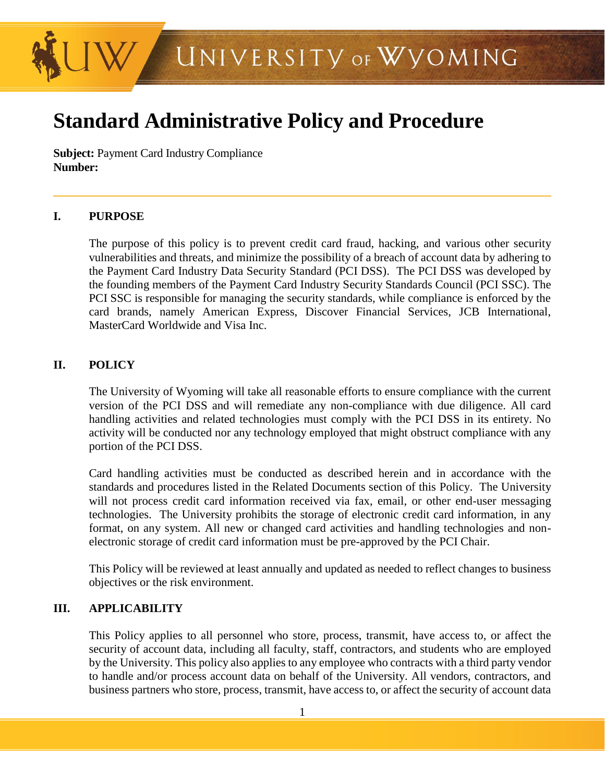

# **Standard Administrative Policy and Procedure**

**Subject:** Payment Card Industry Compliance **Number:** 

#### **I. PURPOSE**

The purpose of this policy is to prevent credit card fraud, hacking, and various other security vulnerabilities and threats, and minimize the possibility of a breach of account data by adhering to the Payment Card Industry Data Security Standard (PCI DSS). The PCI DSS was developed by the founding members of the Payment Card Industry Security Standards Council (PCI SSC). The PCI SSC is responsible for managing the security standards, while compliance is enforced by the card brands, namely American Express, Discover Financial Services, JCB International, MasterCard Worldwide and Visa Inc.

## **II. POLICY**

The University of Wyoming will take all reasonable efforts to ensure compliance with the current version of the PCI DSS and will remediate any non-compliance with due diligence. All card handling activities and related technologies must comply with the PCI DSS in its entirety. No activity will be conducted nor any technology employed that might obstruct compliance with any portion of the PCI DSS.

Card handling activities must be conducted as described herein and in accordance with the standards and procedures listed in the Related Documents section of this Policy. The University will not process credit card information received via fax, email, or other end-user messaging technologies. The University prohibits the storage of electronic credit card information, in any format, on any system. All new or changed card activities and handling technologies and nonelectronic storage of credit card information must be pre-approved by the PCI Chair.

This Policy will be reviewed at least annually and updated as needed to reflect changes to business objectives or the risk environment.

## **III. APPLICABILITY**

This Policy applies to all personnel who store, process, transmit, have access to, or affect the security of account data, including all faculty, staff, contractors, and students who are employed by the University. This policy also applies to any employee who contracts with a third party vendor to handle and/or process account data on behalf of the University. All vendors, contractors, and business partners who store, process, transmit, have access to, or affect the security of account data